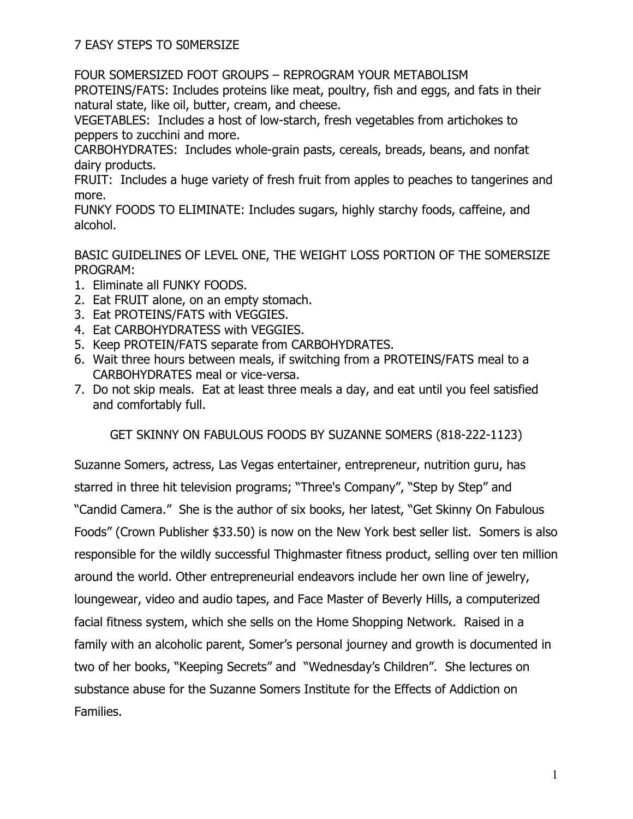7 EASY STEPS TO S0MERSIZE

FOUR SOMERSIZED FOOT GROUPS – REPROGRAM YOUR METABOLISM

PROTEINS/FATS: Includes proteins like meat, poultry, fish and eggs, and fats in their natural state, like oil, butter, cream, and cheese.

VEGETABLES: Includes a host of low-starch, fresh vegetables from artichokes to peppers to zucchini and more.

CARBOHYDRATES: Includes whole-grain pasts, cereals, breads, beans, and nonfat dairy products.

FRUIT: Includes a huge variety of fresh fruit from apples to peaches to tangerines and more.

FUNKY FOODS TO ELIMINATE: Includes sugars, highly starchy foods, caffeine, and alcohol.

BASIC GUIDELINES OF LEVEL ONE, THE WEIGHT LOSS PORTION OF THE SOMERSIZE PROGRAM:

- 1. Eliminate all FUNKY FOODS.
- 2. Eat FRUIT alone, on an empty stomach.
- 3. Eat PROTEINS/FATS with VEGGIES.
- 4. Eat CARBOHYDRATESS with VEGGIES.
- 5. Keep PROTEIN/FATS separate from CARBOHYDRATES.
- 6. Wait three hours between meals, if switching from a PROTEINS/FATS meal to a CARBOHYDRATES meal or vice-versa.
- 7. Do not skip meals. Eat at least three meals a day, and eat until you feel satisfied and comfortably full.

GET SKINNY ON FABULOUS FOODS BY SUZANNE SOMERS (818-222-1123)

Suzanne Somers, actress, Las Vegas entertainer, entrepreneur, nutrition guru, has starred in three hit television programs; "Three's Company", "Step by Step" and "Candid Camera." She is the author of six books, her latest, "Get Skinny On Fabulous Foods" (Crown Publisher \$33.50) is now on the New York best seller list. Somers is also responsible for the wildly successful Thighmaster fitness product, selling over ten million around the world. Other entrepreneurial endeavors include her own line of jewelry, loungewear, video and audio tapes, and Face Master of Beverly Hills, a computerized facial fitness system, which she sells on the Home Shopping Network. Raised in a family with an alcoholic parent, Somer's personal journey and growth is documented in two of her books, "Keeping Secrets" and "Wednesday's Children". She lectures on substance abuse for the Suzanne Somers Institute for the Effects of Addiction on Families.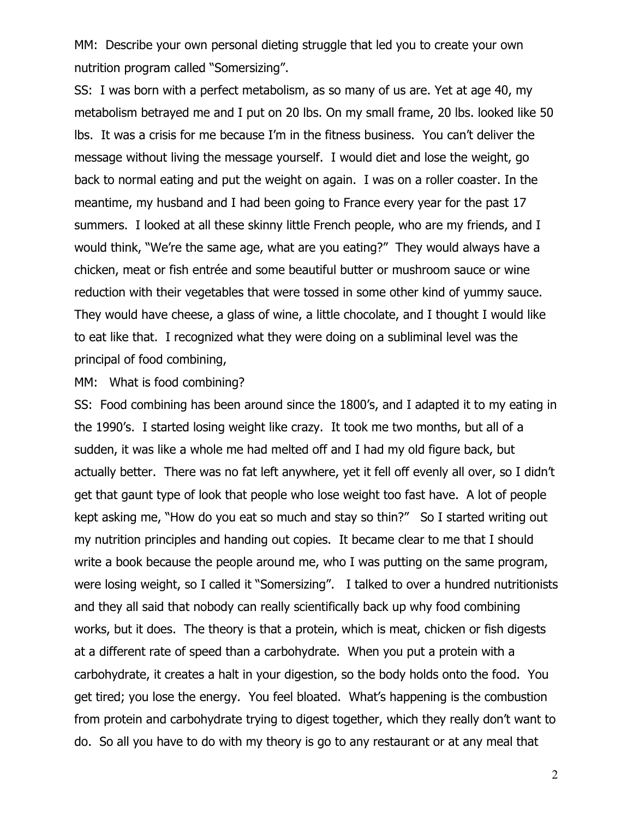MM: Describe your own personal dieting struggle that led you to create your own nutrition program called "Somersizing".

SS: I was born with a perfect metabolism, as so many of us are. Yet at age 40, my metabolism betrayed me and I put on 20 lbs. On my small frame, 20 lbs. looked like 50 lbs. It was a crisis for me because I'm in the fitness business. You can't deliver the message without living the message yourself. I would diet and lose the weight, go back to normal eating and put the weight on again. I was on a roller coaster. In the meantime, my husband and I had been going to France every year for the past 17 summers. I looked at all these skinny little French people, who are my friends, and I would think, "We're the same age, what are you eating?" They would always have a chicken, meat or fish entrée and some beautiful butter or mushroom sauce or wine reduction with their vegetables that were tossed in some other kind of yummy sauce. They would have cheese, a glass of wine, a little chocolate, and I thought I would like to eat like that. I recognized what they were doing on a subliminal level was the principal of food combining,

## MM: What is food combining?

SS: Food combining has been around since the 1800's, and I adapted it to my eating in the 1990's. I started losing weight like crazy. It took me two months, but all of a sudden, it was like a whole me had melted off and I had my old figure back, but actually better. There was no fat left anywhere, yet it fell off evenly all over, so I didn't get that gaunt type of look that people who lose weight too fast have. A lot of people kept asking me, "How do you eat so much and stay so thin?" So I started writing out my nutrition principles and handing out copies. It became clear to me that I should write a book because the people around me, who I was putting on the same program, were losing weight, so I called it "Somersizing". I talked to over a hundred nutritionists and they all said that nobody can really scientifically back up why food combining works, but it does. The theory is that a protein, which is meat, chicken or fish digests at a different rate of speed than a carbohydrate. When you put a protein with a carbohydrate, it creates a halt in your digestion, so the body holds onto the food. You get tired; you lose the energy. You feel bloated. What's happening is the combustion from protein and carbohydrate trying to digest together, which they really don't want to do. So all you have to do with my theory is go to any restaurant or at any meal that

2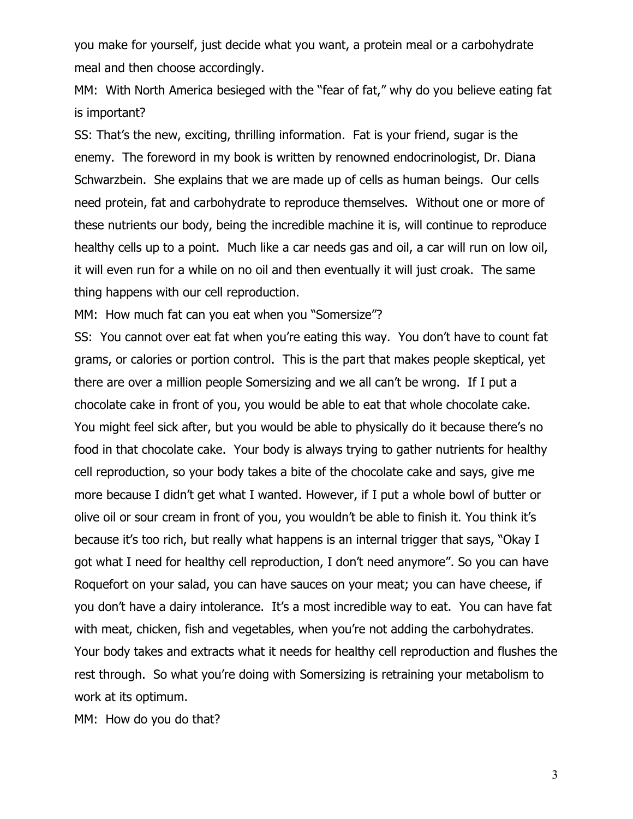you make for yourself, just decide what you want, a protein meal or a carbohydrate meal and then choose accordingly.

MM: With North America besieged with the "fear of fat," why do you believe eating fat is important?

SS: That's the new, exciting, thrilling information. Fat is your friend, sugar is the enemy. The foreword in my book is written by renowned endocrinologist, Dr. Diana Schwarzbein. She explains that we are made up of cells as human beings. Our cells need protein, fat and carbohydrate to reproduce themselves. Without one or more of these nutrients our body, being the incredible machine it is, will continue to reproduce healthy cells up to a point. Much like a car needs gas and oil, a car will run on low oil, it will even run for a while on no oil and then eventually it will just croak. The same thing happens with our cell reproduction.

MM: How much fat can you eat when you "Somersize"?

SS: You cannot over eat fat when you're eating this way. You don't have to count fat grams, or calories or portion control. This is the part that makes people skeptical, yet there are over a million people Somersizing and we all can't be wrong. If I put a chocolate cake in front of you, you would be able to eat that whole chocolate cake. You might feel sick after, but you would be able to physically do it because there's no food in that chocolate cake. Your body is always trying to gather nutrients for healthy cell reproduction, so your body takes a bite of the chocolate cake and says, give me more because I didn't get what I wanted. However, if I put a whole bowl of butter or olive oil or sour cream in front of you, you wouldn't be able to finish it. You think it's because it's too rich, but really what happens is an internal trigger that says, "Okay I got what I need for healthy cell reproduction, I don't need anymore". So you can have Roquefort on your salad, you can have sauces on your meat; you can have cheese, if you don't have a dairy intolerance. It's a most incredible way to eat. You can have fat with meat, chicken, fish and vegetables, when you're not adding the carbohydrates. Your body takes and extracts what it needs for healthy cell reproduction and flushes the rest through. So what you're doing with Somersizing is retraining your metabolism to work at its optimum.

MM: How do you do that?

3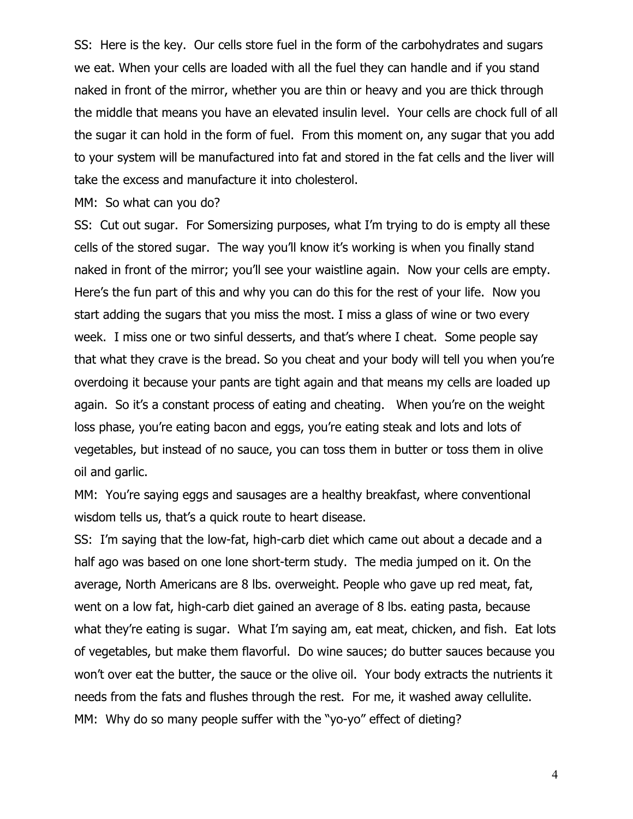SS: Here is the key. Our cells store fuel in the form of the carbohydrates and sugars we eat. When your cells are loaded with all the fuel they can handle and if you stand naked in front of the mirror, whether you are thin or heavy and you are thick through the middle that means you have an elevated insulin level. Your cells are chock full of all the sugar it can hold in the form of fuel. From this moment on, any sugar that you add to your system will be manufactured into fat and stored in the fat cells and the liver will take the excess and manufacture it into cholesterol.

MM: So what can you do?

SS: Cut out sugar. For Somersizing purposes, what I'm trying to do is empty all these cells of the stored sugar. The way you'll know it's working is when you finally stand naked in front of the mirror; you'll see your waistline again. Now your cells are empty. Here's the fun part of this and why you can do this for the rest of your life. Now you start adding the sugars that you miss the most. I miss a glass of wine or two every week. I miss one or two sinful desserts, and that's where I cheat. Some people say that what they crave is the bread. So you cheat and your body will tell you when you're overdoing it because your pants are tight again and that means my cells are loaded up again. So it's a constant process of eating and cheating. When you're on the weight loss phase, you're eating bacon and eggs, you're eating steak and lots and lots of vegetables, but instead of no sauce, you can toss them in butter or toss them in olive oil and garlic.

MM: You're saying eggs and sausages are a healthy breakfast, where conventional wisdom tells us, that's a quick route to heart disease.

SS: I'm saying that the low-fat, high-carb diet which came out about a decade and a half ago was based on one lone short-term study. The media jumped on it. On the average, North Americans are 8 lbs. overweight. People who gave up red meat, fat, went on a low fat, high-carb diet gained an average of 8 lbs. eating pasta, because what they're eating is sugar. What I'm saying am, eat meat, chicken, and fish. Eat lots of vegetables, but make them flavorful. Do wine sauces; do butter sauces because you won't over eat the butter, the sauce or the olive oil. Your body extracts the nutrients it needs from the fats and flushes through the rest. For me, it washed away cellulite. MM: Why do so many people suffer with the "yo-yo" effect of dieting?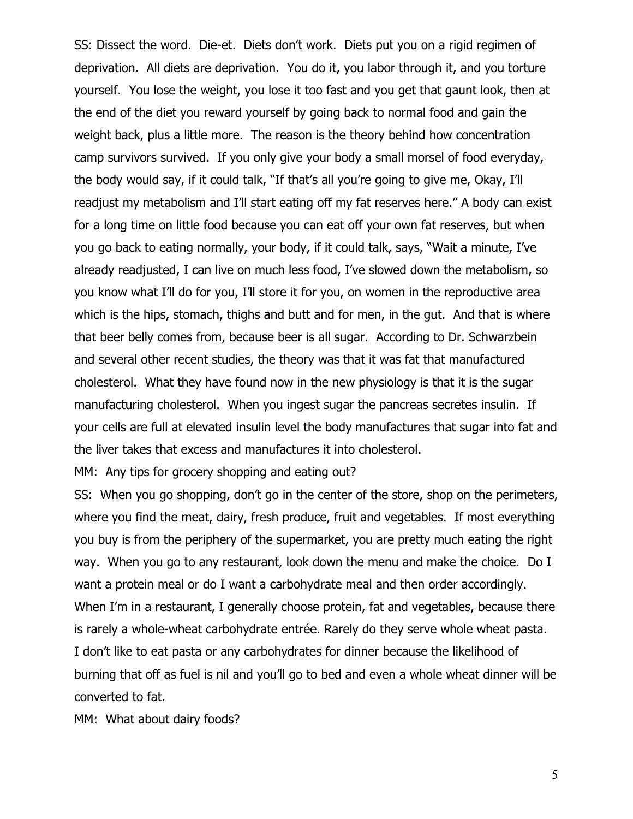SS: Dissect the word. Die-et. Diets don't work. Diets put you on a rigid regimen of deprivation. All diets are deprivation. You do it, you labor through it, and you torture yourself. You lose the weight, you lose it too fast and you get that gaunt look, then at the end of the diet you reward yourself by going back to normal food and gain the weight back, plus a little more. The reason is the theory behind how concentration camp survivors survived. If you only give your body a small morsel of food everyday, the body would say, if it could talk, "If that's all you're going to give me, Okay, I'll readjust my metabolism and I'll start eating off my fat reserves here." A body can exist for a long time on little food because you can eat off your own fat reserves, but when you go back to eating normally, your body, if it could talk, says, "Wait a minute, I've already readjusted, I can live on much less food, I've slowed down the metabolism, so you know what I'll do for you, I'll store it for you, on women in the reproductive area which is the hips, stomach, thighs and butt and for men, in the gut. And that is where that beer belly comes from, because beer is all sugar. According to Dr. Schwarzbein and several other recent studies, the theory was that it was fat that manufactured cholesterol. What they have found now in the new physiology is that it is the sugar manufacturing cholesterol. When you ingest sugar the pancreas secretes insulin. If your cells are full at elevated insulin level the body manufactures that sugar into fat and the liver takes that excess and manufactures it into cholesterol.

MM: Any tips for grocery shopping and eating out?

SS: When you go shopping, don't go in the center of the store, shop on the perimeters, where you find the meat, dairy, fresh produce, fruit and vegetables. If most everything you buy is from the periphery of the supermarket, you are pretty much eating the right way. When you go to any restaurant, look down the menu and make the choice. Do I want a protein meal or do I want a carbohydrate meal and then order accordingly. When I'm in a restaurant, I generally choose protein, fat and vegetables, because there is rarely a whole-wheat carbohydrate entrée. Rarely do they serve whole wheat pasta. I don't like to eat pasta or any carbohydrates for dinner because the likelihood of burning that off as fuel is nil and you'll go to bed and even a whole wheat dinner will be converted to fat.

MM: What about dairy foods?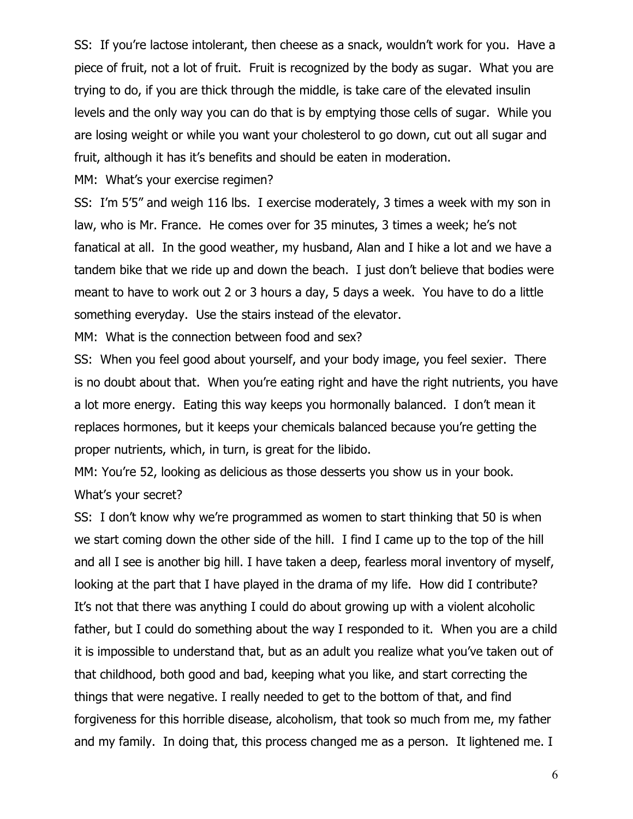SS: If you're lactose intolerant, then cheese as a snack, wouldn't work for you. Have a piece of fruit, not a lot of fruit. Fruit is recognized by the body as sugar. What you are trying to do, if you are thick through the middle, is take care of the elevated insulin levels and the only way you can do that is by emptying those cells of sugar. While you are losing weight or while you want your cholesterol to go down, cut out all sugar and fruit, although it has it's benefits and should be eaten in moderation.

MM: What's your exercise regimen?

SS: I'm 5'5" and weigh 116 lbs. I exercise moderately, 3 times a week with my son in law, who is Mr. France. He comes over for 35 minutes, 3 times a week; he's not fanatical at all. In the good weather, my husband, Alan and I hike a lot and we have a tandem bike that we ride up and down the beach. I just don't believe that bodies were meant to have to work out 2 or 3 hours a day, 5 days a week. You have to do a little something everyday. Use the stairs instead of the elevator.

MM: What is the connection between food and sex?

SS: When you feel good about yourself, and your body image, you feel sexier. There is no doubt about that. When you're eating right and have the right nutrients, you have a lot more energy. Eating this way keeps you hormonally balanced. I don't mean it replaces hormones, but it keeps your chemicals balanced because you're getting the proper nutrients, which, in turn, is great for the libido.

MM: You're 52, looking as delicious as those desserts you show us in your book. What's your secret?

SS: I don't know why we're programmed as women to start thinking that 50 is when we start coming down the other side of the hill. I find I came up to the top of the hill and all I see is another big hill. I have taken a deep, fearless moral inventory of myself, looking at the part that I have played in the drama of my life. How did I contribute? It's not that there was anything I could do about growing up with a violent alcoholic father, but I could do something about the way I responded to it. When you are a child it is impossible to understand that, but as an adult you realize what you've taken out of that childhood, both good and bad, keeping what you like, and start correcting the things that were negative. I really needed to get to the bottom of that, and find forgiveness for this horrible disease, alcoholism, that took so much from me, my father and my family. In doing that, this process changed me as a person. It lightened me. I